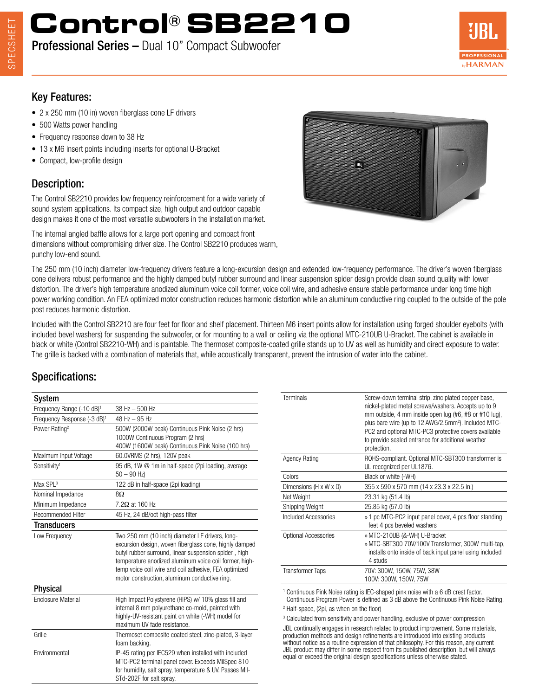# **Control® SB2210**

# Professional Series – Dual 10" Compact Subwoofer

#### Key Features:

- 2 x 250 mm (10 in) woven fiberglass cone LF drivers
- 500 Watts power handling
- Frequency response down to 38 Hz
- 13 x M6 insert points including inserts for optional U-Bracket
- Compact, low-profile design

## Description:

The Control SB2210 provides low frequency reinforcement for a wide variety of sound system applications. Its compact size, high output and outdoor capable design makes it one of the most versatile subwoofers in the installation market.

The internal angled baffle allows for a large port opening and compact front dimensions without compromising driver size. The Control SB2210 produces warm, punchy low-end sound.

The 250 mm (10 inch) diameter low-frequency drivers feature a long-excursion design and extended low-frequency performance. The driver's woven fiberglass cone delivers robust performance and the highly damped butyl rubber surround and linear suspension spider design provide clean sound quality with lower distortion. The driver's high temperature anodized aluminum voice coil former, voice coil wire, and adhesive ensure stable performance under long time high power working condition. An FEA optimized motor construction reduces harmonic distortion while an aluminum conductive ring coupled to the outside of the pole post reduces harmonic distortion.

Included with the Control SB2210 are four feet for floor and shelf placement. Thirteen M6 insert points allow for installation using forged shoulder eyebolts (with included bevel washers) for suspending the subwoofer, or for mounting to a wall or ceiling via the optional MTC-210UB U-Bracket. The cabinet is available in black or white (Control SB2210-WH) and is paintable. The thermoset composite-coated grille stands up to UV as well as humidity and direct exposure to water. The grille is backed with a combination of materials that, while acoustically transparent, prevent the intrusion of water into the cabinet.

# Specifications:

| System                                  |                                                                                                                                                                                                                                                                                                                                        |
|-----------------------------------------|----------------------------------------------------------------------------------------------------------------------------------------------------------------------------------------------------------------------------------------------------------------------------------------------------------------------------------------|
| Frequency Range (-10 dB) <sup>1</sup>   | 38 Hz - 500 Hz                                                                                                                                                                                                                                                                                                                         |
| Frequency Response (-3 dB) <sup>1</sup> | $48$ Hz $-95$ Hz                                                                                                                                                                                                                                                                                                                       |
| Power Rating <sup>2</sup>               | 500W (2000W peak) Continuous Pink Noise (2 hrs)<br>1000W Continuous Program (2 hrs)<br>400W (1600W peak) Continuous Pink Noise (100 hrs)                                                                                                                                                                                               |
| Maximum Input Voltage                   | 60.0VRMS (2 hrs), 120V peak                                                                                                                                                                                                                                                                                                            |
| Sensitivity <sup>1</sup>                | 95 dB, 1W @ 1m in half-space (2pi loading, average<br>$50 - 90$ Hz)                                                                                                                                                                                                                                                                    |
| Max SPL <sup>3</sup>                    | 122 dB in half-space (2pi loading)                                                                                                                                                                                                                                                                                                     |
| Nominal Impedance                       | $8\Omega$                                                                                                                                                                                                                                                                                                                              |
| Minimum Impedance                       | $7.2\Omega$ at 160 Hz                                                                                                                                                                                                                                                                                                                  |
| <b>Recommended Filter</b>               | 45 Hz, 24 dB/oct high-pass filter                                                                                                                                                                                                                                                                                                      |
| Transducers                             |                                                                                                                                                                                                                                                                                                                                        |
| Low Frequency                           | Two 250 mm (10 inch) diameter LF drivers, long-<br>excursion design, woven fiberglass cone, highly damped<br>butyl rubber surround, linear suspension spider, high<br>temperature anodized aluminum voice coil former, high-<br>temp voice coil wire and coil adhesive, FEA optimized<br>motor construction, aluminum conductive ring. |
| <b>Physical</b>                         |                                                                                                                                                                                                                                                                                                                                        |
| <b>Enclosure Material</b>               | High Impact Polystyrene (HIPS) w/ 10% glass fill and<br>internal 8 mm polyurethane co-mold, painted with<br>highly-UV-resistant paint on white (-WH) model for<br>maximum UV fade resistance.                                                                                                                                          |
| Grille                                  | Thermoset composite coated steel, zinc-plated, 3-layer<br>foam backing.                                                                                                                                                                                                                                                                |
| Environmental                           | IP-45 rating per IEC529 when installed with included<br>MTC-PC2 terminal panel cover. Exceeds MilSpec 810<br>for humidity, salt spray, temperature & UV. Passes Mil-                                                                                                                                                                   |

STd-202F for salt spray.

| <b>Terminals</b>        | Screw-down terminal strip, zinc plated copper base,<br>nickel-plated metal screws/washers. Accepts up to 9<br>mm outside, 4 mm inside open lug (#6, #8 or #10 lug),<br>plus bare wire (up to 12 AWG/2.5mm <sup>2</sup> ). Included MTC-<br>PC2 and optional MTC-PC3 protective covers available<br>to provide sealed entrance for additional weather<br>protection. |
|-------------------------|---------------------------------------------------------------------------------------------------------------------------------------------------------------------------------------------------------------------------------------------------------------------------------------------------------------------------------------------------------------------|
| <b>Agency Rating</b>    | ROHS-compliant. Optional MTC-SBT300 transformer is<br>UL recognized per UL1876.                                                                                                                                                                                                                                                                                     |
| Colors                  | Black or white (-WH)                                                                                                                                                                                                                                                                                                                                                |
| Dimensions (H x W x D)  | 355 x 590 x 570 mm (14 x 23.3 x 22.5 in.)                                                                                                                                                                                                                                                                                                                           |
| Net Weight              | 23.31 kg (51.4 lb)                                                                                                                                                                                                                                                                                                                                                  |
| Shipping Weight         | 25.85 kg (57.0 lb)                                                                                                                                                                                                                                                                                                                                                  |
| Included Accessories    | » 1 pc MTC-PC2 input panel cover, 4 pcs floor standing<br>feet 4 pcs beveled washers                                                                                                                                                                                                                                                                                |
| Optional Accessories    | » MTC-210UB (&-WH) U-Bracket<br>» MTC-SBT300 70V/100V Transformer, 300W multi-tap,<br>installs onto inside of back input panel using included<br>4 studs                                                                                                                                                                                                            |
| <b>Transformer Taps</b> | 70V: 300W, 150W, 75W, 38W<br>100V: 300W, 150W, 75W                                                                                                                                                                                                                                                                                                                  |
|                         | 1. Occupation of a District District of the UEO of the condition of the condition OralDistrict function                                                                                                                                                                                                                                                             |

<sup>1</sup> Continuous Pink Noise rating is IEC-shaped pink noise with a 6 dB crest factor. Continuous Program Power is defined as 3 dB above the Continuous Pink Noise Rating.

2 Half-space, (2pi, as when on the floor)

<sup>3</sup> Calculated from sensitivity and power handling, exclusive of power compression JBL continually engages in research related to product improvement. Some materials, production methods and design refinements are introduced into existing products without notice as a routine expression of that philosophy. For this reason, any current JBL product may differ in some respect from its published description, but will always equal or exceed the original design specifications unless otherwise stated.